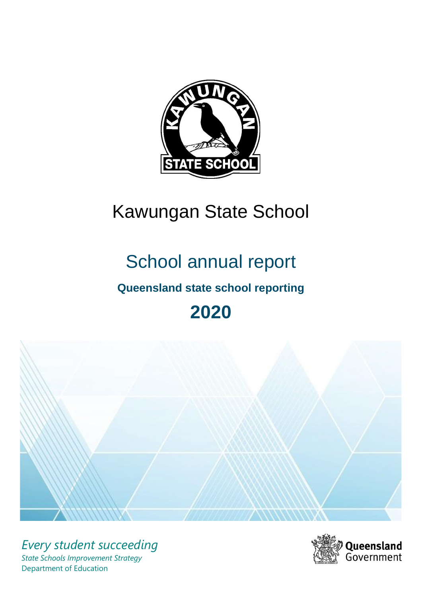

# Kawungan State School

# School annual report

# **Queensland state school reporting**

# **2020**



*Every student succeeding State Schools Improvement Strategy* Department of Education

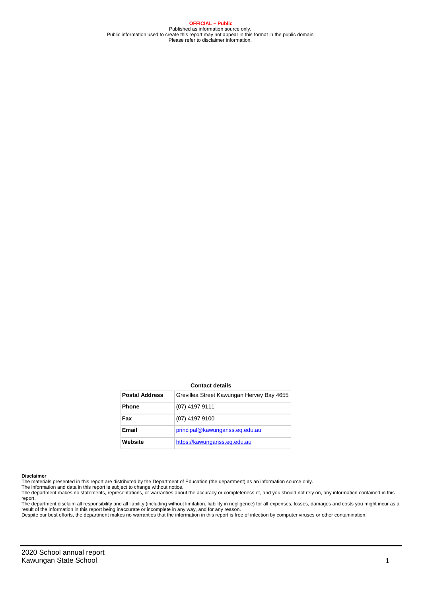**OFFICIAL – Public** Published as information source only. Public information used to create this report may not appear in this format in the public domain Please refer to disclaimer information.

#### **Contact details**

| <b>Postal Address</b> | Grevillea Street Kawungan Hervey Bay 4655 |
|-----------------------|-------------------------------------------|
| <b>Phone</b>          | $(07)$ 4197 9111                          |
| Fax                   | (07) 4197 9100                            |
| Email                 | principal@kawunganss.eq.edu.au            |
| Website               | https://kawunganss.eg.edu.au              |

#### **Disclaimer**

The materials presented in this report are distributed by the Department of Education (the department) as an information source only. The information and data in this report is subject to change without notice.

The department makes no statements, representations, or warranties about the accuracy or completeness of, and you should not rely on, any information contained in this report.

The department disclaim all responsibility and all liability (including without limitation, liability in negligence) for all expenses, losses, damages and costs you might incur as a<br>result of the information in this report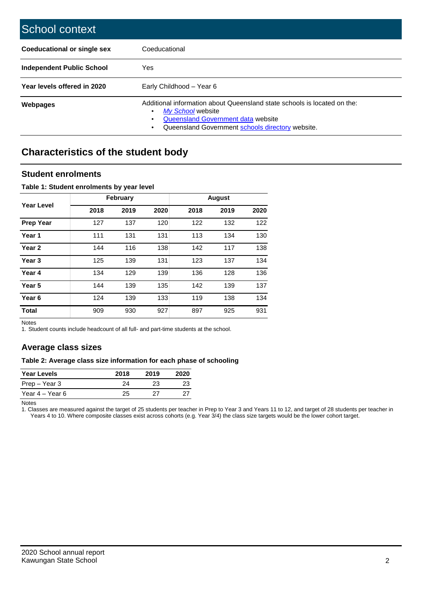| School context                   |                                                                                                                                                                                         |
|----------------------------------|-----------------------------------------------------------------------------------------------------------------------------------------------------------------------------------------|
| Coeducational or single sex      | Coeducational                                                                                                                                                                           |
| <b>Independent Public School</b> | Yes                                                                                                                                                                                     |
| Year levels offered in 2020      | Early Childhood - Year 6                                                                                                                                                                |
| <b>Webpages</b>                  | Additional information about Queensland state schools is located on the:<br>My School website<br>Queensland Government data website<br>Queensland Government schools directory website. |

## **Characteristics of the student body**

### **Student enrolments**

#### **Table 1: Student enrolments by year level**

|                   |      | February |      |      | <b>August</b> |      |
|-------------------|------|----------|------|------|---------------|------|
| Year Level        | 2018 | 2019     | 2020 | 2018 | 2019          | 2020 |
| <b>Prep Year</b>  | 127  | 137      | 120  | 122  | 132           | 122  |
| Year 1            | 111  | 131      | 131  | 113  | 134           | 130  |
| Year <sub>2</sub> | 144  | 116      | 138  | 142  | 117           | 138  |
| Year <sub>3</sub> | 125  | 139      | 131  | 123  | 137           | 134  |
| Year 4            | 134  | 129      | 139  | 136  | 128           | 136  |
| Year <sub>5</sub> | 144  | 139      | 135  | 142  | 139           | 137  |
| Year <sub>6</sub> | 124  | 139      | 133  | 119  | 138           | 134  |
| <b>Total</b>      | 909  | 930      | 927  | 897  | 925           | 931  |

Notes

1. Student counts include headcount of all full- and part-time students at the school.

## **Average class sizes**

#### **Table 2: Average class size information for each phase of schooling**

| <b>Year Levels</b> | 2018 | 2019 | 2020 |
|--------------------|------|------|------|
| Prep – Year 3      | 74   | 23   | 23   |
| Year 4 – Year 6    | 25   | ソフ   |      |

Notes

1. Classes are measured against the target of 25 students per teacher in Prep to Year 3 and Years 11 to 12, and target of 28 students per teacher in Years 4 to 10. Where composite classes exist across cohorts (e.g. Year 3/4) the class size targets would be the lower cohort target.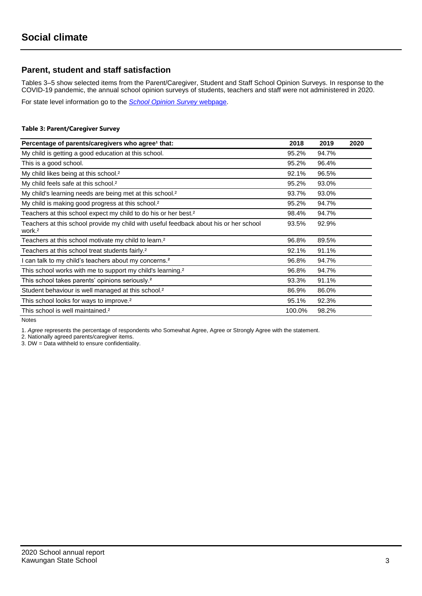## **Parent, student and staff satisfaction**

Tables 3–5 show selected items from the Parent/Caregiver, Student and Staff School Opinion Surveys. In response to the COVID-19 pandemic, the annual school opinion surveys of students, teachers and staff were not administered in 2020.

For state level information go to the *[School Opinion Survey](https://qed.qld.gov.au/publications/reports/statistics/schooling/schools/schoolopinionsurvey)* [webpage.](https://qed.qld.gov.au/publications/reports/statistics/schooling/schools/schoolopinionsurvey)

#### **Table 3: Parent/Caregiver Survey**

| Percentage of parents/caregivers who agree <sup>1</sup> that:                                               | 2018   | 2019  | 2020 |
|-------------------------------------------------------------------------------------------------------------|--------|-------|------|
| My child is getting a good education at this school.                                                        | 95.2%  | 94.7% |      |
| This is a good school.                                                                                      | 95.2%  | 96.4% |      |
| My child likes being at this school. <sup>2</sup>                                                           | 92.1%  | 96.5% |      |
| My child feels safe at this school. <sup>2</sup>                                                            | 95.2%  | 93.0% |      |
| My child's learning needs are being met at this school. <sup>2</sup>                                        | 93.7%  | 93.0% |      |
| My child is making good progress at this school. <sup>2</sup>                                               | 95.2%  | 94.7% |      |
| Teachers at this school expect my child to do his or her best. <sup>2</sup>                                 | 98.4%  | 94.7% |      |
| Teachers at this school provide my child with useful feedback about his or her school<br>work. <sup>2</sup> | 93.5%  | 92.9% |      |
| Teachers at this school motivate my child to learn. <sup>2</sup>                                            | 96.8%  | 89.5% |      |
| Teachers at this school treat students fairly. <sup>2</sup>                                                 | 92.1%  | 91.1% |      |
| I can talk to my child's teachers about my concerns. <sup>2</sup>                                           | 96.8%  | 94.7% |      |
| This school works with me to support my child's learning. <sup>2</sup>                                      | 96.8%  | 94.7% |      |
| This school takes parents' opinions seriously. <sup>2</sup>                                                 | 93.3%  | 91.1% |      |
| Student behaviour is well managed at this school. <sup>2</sup>                                              | 86.9%  | 86.0% |      |
| This school looks for ways to improve. <sup>2</sup>                                                         | 95.1%  | 92.3% |      |
| This school is well maintained. <sup>2</sup>                                                                | 100.0% | 98.2% |      |

Notes

1. *Agree* represents the percentage of respondents who Somewhat Agree, Agree or Strongly Agree with the statement.

2. Nationally agreed parents/caregiver items.

3. DW = Data withheld to ensure confidentiality.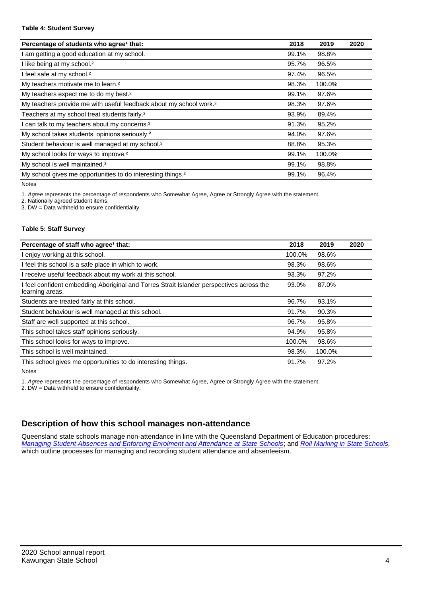#### **Table 4: Student Survey**

| Percentage of students who agree <sup>1</sup> that:                            | 2018  | 2019   | 2020 |
|--------------------------------------------------------------------------------|-------|--------|------|
| am getting a good education at my school.                                      | 99.1% | 98.8%  |      |
| I like being at my school. <sup>2</sup>                                        | 95.7% | 96.5%  |      |
| I feel safe at my school. <sup>2</sup>                                         | 97.4% | 96.5%  |      |
| My teachers motivate me to learn. <sup>2</sup>                                 | 98.3% | 100.0% |      |
| My teachers expect me to do my best. <sup>2</sup>                              | 99.1% | 97.6%  |      |
| My teachers provide me with useful feedback about my school work. <sup>2</sup> | 98.3% | 97.6%  |      |
| Teachers at my school treat students fairly. <sup>2</sup>                      | 93.9% | 89.4%  |      |
| can talk to my teachers about my concerns. <sup>2</sup>                        | 91.3% | 95.2%  |      |
| My school takes students' opinions seriously. <sup>2</sup>                     | 94.0% | 97.6%  |      |
| Student behaviour is well managed at my school. <sup>2</sup>                   | 88.8% | 95.3%  |      |
| My school looks for ways to improve. <sup>2</sup>                              | 99.1% | 100.0% |      |
| My school is well maintained. <sup>2</sup>                                     | 99.1% | 98.8%  |      |
| My school gives me opportunities to do interesting things. <sup>2</sup>        | 99.1% | 96.4%  |      |

Notes

1. *Agree* represents the percentage of respondents who Somewhat Agree, Agree or Strongly Agree with the statement.

2. Nationally agreed student items.

3. DW = Data withheld to ensure confidentiality.

#### **Table 5: Staff Survey**

| Percentage of staff who agree <sup>1</sup> that:                                                            | 2018   | 2019   | 2020 |
|-------------------------------------------------------------------------------------------------------------|--------|--------|------|
| I enjoy working at this school.                                                                             | 100.0% | 98.6%  |      |
| I feel this school is a safe place in which to work.                                                        | 98.3%  | 98.6%  |      |
| I receive useful feedback about my work at this school.                                                     | 93.3%  | 97.2%  |      |
| I feel confident embedding Aboriginal and Torres Strait Islander perspectives across the<br>learning areas. | 93.0%  | 87.0%  |      |
| Students are treated fairly at this school.                                                                 | 96.7%  | 93.1%  |      |
| Student behaviour is well managed at this school.                                                           | 91.7%  | 90.3%  |      |
| Staff are well supported at this school.                                                                    | 96.7%  | 95.8%  |      |
| This school takes staff opinions seriously.                                                                 | 94.9%  | 95.8%  |      |
| This school looks for ways to improve.                                                                      | 100.0% | 98.6%  |      |
| This school is well maintained.                                                                             | 98.3%  | 100.0% |      |
| This school gives me opportunities to do interesting things.                                                | 91.7%  | 97.2%  |      |

Notes

1. *Agree* represents the percentage of respondents who Somewhat Agree, Agree or Strongly Agree with the statement.

2. DW = Data withheld to ensure confidentiality.

## **Description of how this school manages non-attendance**

Queensland state schools manage non-attendance in line with the Queensland Department of Education procedures: *[Managing Student Absences and Enforcing Enrolment and Attendance at State Schools](https://ppr.qed.qld.gov.au/pp/managing-student-absences-and-enforcing-enrolment-and-attendance-at-state-schools-procedure)*; and *[Roll Marking in State Schools,](https://ppr.qed.qld.gov.au/pp/roll-marking-in-state-schools-procedure)* which outline processes for managing and recording student attendance and absenteeism.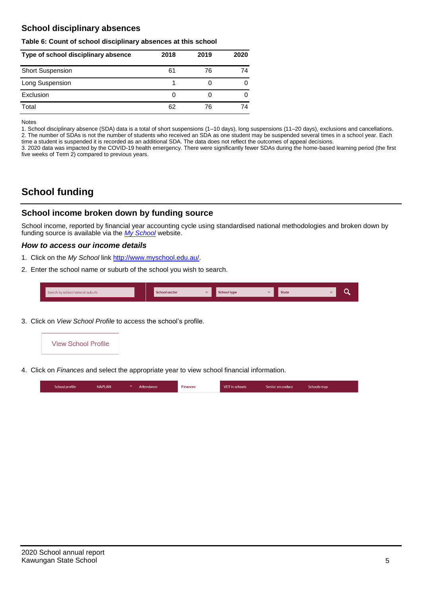## **School disciplinary absences**

#### **Table 6: Count of school disciplinary absences at this school**

| Type of school disciplinary absence | 2018 | 2019 | 2020 |
|-------------------------------------|------|------|------|
| <b>Short Suspension</b>             | 61   | 76   | 74   |
| Long Suspension                     |      |      |      |
| Exclusion                           | O    |      |      |
| Total                               | 62   | 76   | 74   |

Notes

1. School disciplinary absence (SDA) data is a total of short suspensions (1–10 days), long suspensions (11–20 days), exclusions and cancellations. 2. The number of SDAs is not the number of students who received an SDA as one student may be suspended several times in a school year. Each time a student is suspended it is recorded as an additional SDA. The data does not reflect the outcomes of appeal decisions.

3. 2020 data was impacted by the COVID-19 health emergency. There were significantly fewer SDAs during the home-based learning period (the first five weeks of Term 2) compared to previous years.

# **School funding**

## **School income broken down by funding source**

School income, reported by financial year accounting cycle using standardised national methodologies and broken down by funding source is available via the *[My School](http://www.myschool.edu.au/)* website.

#### *How to access our income details*

- 1. Click on the *My School* link [http://www.myschool.edu.au/.](http://www.myschool.edu.au/)
- 2. Enter the school name or suburb of the school you wish to search.

| Search by school name or suburb | <b>School sector</b> | <b>School type</b> | <b>State</b> | ∽ |
|---------------------------------|----------------------|--------------------|--------------|---|
|                                 |                      |                    |              |   |

3. Click on *View School Profile* to access the school's profile.



4. Click on *Finances* and select the appropriate year to view school financial information.

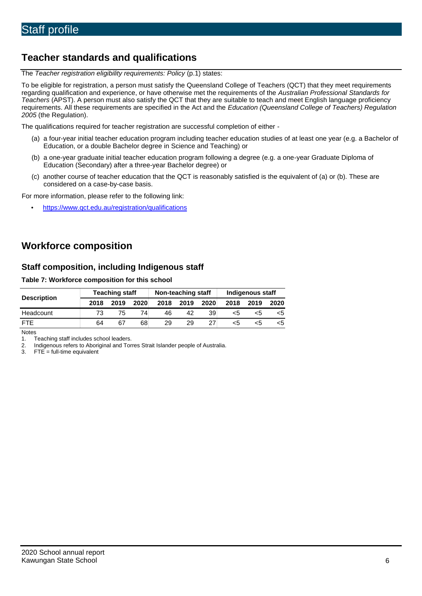# **Teacher standards and qualifications**

The *Teacher registration eligibility requirements: Policy* (p.1) states:

To be eligible for registration, a person must satisfy the Queensland College of Teachers (QCT) that they meet requirements regarding qualification and experience, or have otherwise met the requirements of the *Australian Professional Standards for Teachers* (APST). A person must also satisfy the QCT that they are suitable to teach and meet English language proficiency requirements. All these requirements are specified in the Act and the *Education (Queensland College of Teachers) Regulation 2005* (the Regulation).

The qualifications required for teacher registration are successful completion of either -

- (a) a four-year initial teacher education program including teacher education studies of at least one year (e.g. a Bachelor of Education, or a double Bachelor degree in Science and Teaching) or
- (b) a one-year graduate initial teacher education program following a degree (e.g. a one-year Graduate Diploma of Education (Secondary) after a three-year Bachelor degree) or
- (c) another course of teacher education that the QCT is reasonably satisfied is the equivalent of (a) or (b). These are considered on a case-by-case basis.

For more information, please refer to the following link:

• <https://www.qct.edu.au/registration/qualifications>

# **Workforce composition**

## **Staff composition, including Indigenous staff**

#### **Table 7: Workforce composition for this school**

|                    | <b>Teaching staff</b> |      |      | Non-teaching staff |      |      | Indigenous staff |      |      |
|--------------------|-----------------------|------|------|--------------------|------|------|------------------|------|------|
| <b>Description</b> | 2018                  | 2019 | 2020 | 2018               | 2019 | 2020 | 2018             | 2019 | 2020 |
| Headcount          | 73                    | 75   | 74   | 46                 | 42   | 39   | <5               | כ>   | כ>   |
| <b>FTE</b>         | 64                    | 67   | 68   | 29                 | 29   | 27   | <5               | ה>   |      |

Notes

1. Teaching staff includes school leaders.<br>2. Indigenous refers to Aboriginal and Tor 2. Indigenous refers to Aboriginal and Torres Strait Islander people of Australia.<br>3. FTE = full-time equivalent

 $FTE = full-time equivalent$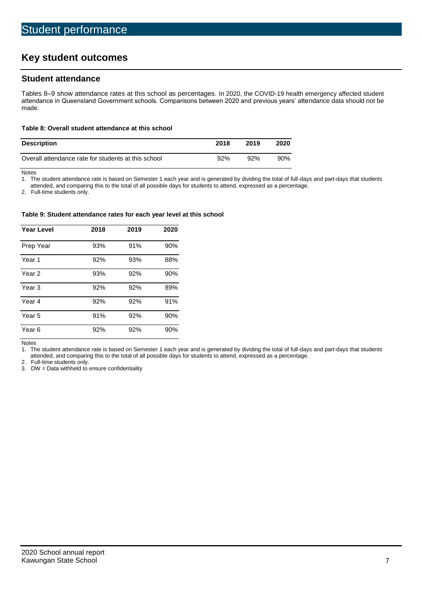# **Key student outcomes**

## **Student attendance**

Tables 8–9 show attendance rates at this school as percentages. In 2020, the COVID-19 health emergency affected student attendance in Queensland Government schools. Comparisons between 2020 and previous years' attendance data should not be made.

#### **Table 8: Overall student attendance at this school**

| <b>Description</b>                                  | 2018 | 2019 | 2020 |
|-----------------------------------------------------|------|------|------|
| Overall attendance rate for students at this school | 92%  | 92%  | 90%  |

Notes<br>1. Th

The student attendance rate is based on Semester 1 each year and is generated by dividing the total of full-days and part-days that students

attended, and comparing this to the total of all possible days for students to attend, expressed as a percentage.

2. Full-time students only.

#### **Table 9: Student attendance rates for each year level at this school**

| <b>Year Level</b> | 2018 | 2019 | 2020 |
|-------------------|------|------|------|
| Prep Year         | 93%  | 91%  | 90%  |
| Year <sub>1</sub> | 92%  | 93%  | 88%  |
| Year 2            | 93%  | 92%  | 90%  |
| Year <sub>3</sub> | 92%  | 92%  | 89%  |
| Year 4            | 92%  | 92%  | 91%  |
| Year 5            | 91%  | 92%  | 90%  |
| Year <sub>6</sub> | 92%  | 92%  | 90%  |

Notes

1. The student attendance rate is based on Semester 1 each year and is generated by dividing the total of full-days and part-days that students attended, and comparing this to the total of all possible days for students to attend, expressed as a percentage.

2. Full-time students only.<br>3. DW = Data withheld to

 $DW = Data$  withheld to ensure confidentiality